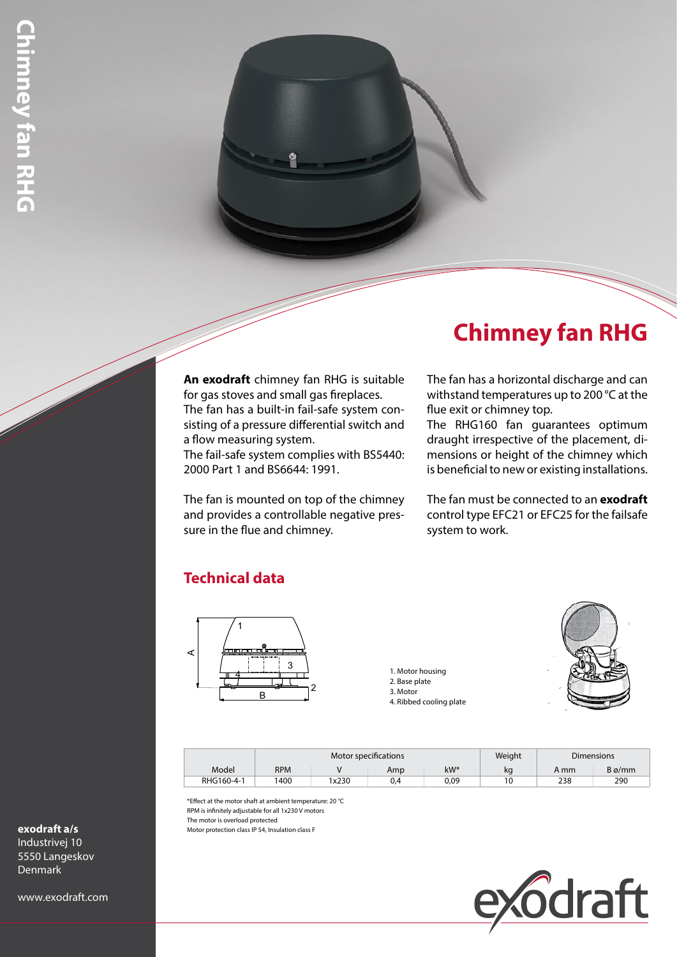## **Chimney fan RHG**

**An exodraft** chimney fan RHG is suitable for gas stoves and small gas fireplaces. The fan has a built-in fail-safe system consisting of a pressure differential switch and a flow measuring system. The fail-safe system complies with BS5440:

2000 Part 1 and BS6644: 1991.

The fan is mounted on top of the chimney and provides a controllable negative pressure in the flue and chimney.

## The fan has a horizontal discharge and can withstand temperatures up to 200 °C at the flue exit or chimney top.

The RHG160 fan guarantees optimum draught irrespective of the placement, dimensions or height of the chimney which is beneficial to new or existing installations.

The fan must be connected to an **exodraft** control type EFC21 or EFC25 for the failsafe system to work.

## **Technical data**



1. Motor housing

- 2. Base plate
- 3. Motor 4. Ribbed cooling plate



|            | Motor specifications |       |     |        | Weight | <b>Dimensions</b> |               |
|------------|----------------------|-------|-----|--------|--------|-------------------|---------------|
| Model      | <b>RPM</b>           |       | Amp | $kW^*$ | kq     | A mm              | $B\varphi/mm$ |
| RHG160-4-1 | 400                  | 1x230 | 0.4 | 0.09   | 10     | 238               | 290           |

\*Effect at the motor shaft at ambient temperature: 20 °C RPM is infinitely adjustable for all 1x230 V motors

The motor is overload protected

Motor protection class IP 54, Insulation class F



**exodraft a/s**

Industrivej 10 5550 Langeskov **Denmark** 

www.exodraft.com